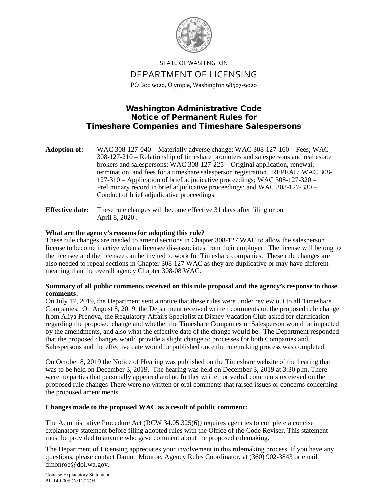

STATE OF WASHINGTON DEPARTMENT OF LICENSING PO Box 9020, Olympia, Washington 98507-9020

## Washington Administrative Code Notice of Permanent Rules for Timeshare Companies and Timeshare Salespersons

| <b>Adoption of:</b> | WAC 308-127-040 – Materially adverse change; WAC 308-127-160 – Fees; WAC           |
|---------------------|------------------------------------------------------------------------------------|
|                     | 308-127-210 – Relationship of timeshare promoters and salespersons and real estate |
|                     | brokers and salespersons; WAC 308-127-225 – Original application, renewal,         |
|                     | termination, and fees for a timeshare salesperson registration. REPEAL: WAC 308-   |
|                     | 127-310 – Application of brief adjudicative proceedings; WAC 308-127-320 –         |
|                     | Preliminary record in brief adjudicative proceedings; and WAC 308-127-330 –        |
|                     | Conduct of brief adjudicative proceedings.                                         |
|                     |                                                                                    |

**Effective date:** These rule changes will become effective 31 days after filing or on April 8, 2020 .

## **What are the agency's reasons for adopting this rule?**

These rule changes are needed to amend sections in Chapter 308-127 WAC to allow the salesperson license to become inactive when a licensee dis-associates from their employer. The license will belong to the licensee and the licensee can be invited to work for Timeshare companies. These rule changes are also needed to repeal sections in Chapter 308-127 WAC as they are duplicative or may have different meaning than the overall agency Chapter 308-08 WAC.

## **Summary of all public comments received on this rule proposal and the agency's response to those comments:**

On July 17, 2019, the Department sent a notice that these rules were under review out to all Timeshare Companies. On August 8, 2019, the Department received written comments on the proposed rule change from Aliya Prenova, the Regulatory Affairs Specialist at Disney Vacation Club asked for clarification regarding the proposed change and whether the Timeshare Companies or Salesperson would be impacted by the amendments, and also what the effective date of the change would be. The Department responded that the proposed changes would provide a slight change to processes for both Companies and Salespersons and the effective date would be published once the rulemaking process was completed.

On October 8, 2019 the Notice of Hearing was published on the Timeshare website of the hearing that was to be held on December 3, 2019. The hearing was held on December 3, 2019 at 3:30 p.m. There were no parties that personally appeared and no further written or verbal comments receieved on the proposed rule changes There were no written or oral comments that raised issues or concerns concerning the proposed amendments.

## **Changes made to the proposed WAC as a result of public comment:**

The Administrative Procedure Act (RCW 34.05.325(6)) requires agencies to complete a concise explanatory statement before filing adopted rules with the Office of the Code Reviser. This statement must be provided to anyone who gave comment about the proposed rulemaking.

The Department of Licensing appreciates your involvement in this rulemaking process. If you have any questions, please contact Damon Monroe, Agency Rules Coordinator, at (360) 902-3843 or email dmonroe@dol.wa.gov.